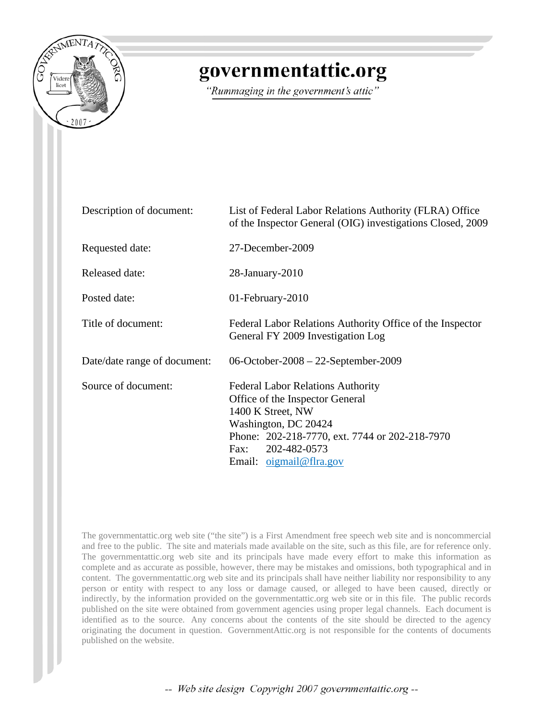

## governmentattic.org

"Rummaging in the government's attic"

| Description of document:     | List of Federal Labor Relations Authority (FLRA) Office<br>of the Inspector General (OIG) investigations Closed, 2009                                                                                                         |
|------------------------------|-------------------------------------------------------------------------------------------------------------------------------------------------------------------------------------------------------------------------------|
| Requested date:              | 27-December-2009                                                                                                                                                                                                              |
| Released date:               | $28$ -January- $2010$                                                                                                                                                                                                         |
| Posted date:                 | 01-February-2010                                                                                                                                                                                                              |
| Title of document:           | Federal Labor Relations Authority Office of the Inspector<br>General FY 2009 Investigation Log                                                                                                                                |
| Date/date range of document: | 06-October-2008 – 22-September-2009                                                                                                                                                                                           |
| Source of document:          | <b>Federal Labor Relations Authority</b><br>Office of the Inspector General<br>1400 K Street, NW<br>Washington, DC 20424<br>Phone: 202-218-7770, ext. 7744 or 202-218-7970<br>202-482-0573<br>Fax:<br>Email: $oigma@f ra.gov$ |

The governmentattic.org web site ("the site") is a First Amendment free speech web site and is noncommercial and free to the public. The site and materials made available on the site, such as this file, are for reference only. The governmentattic.org web site and its principals have made every effort to make this information as complete and as accurate as possible, however, there may be mistakes and omissions, both typographical and in content. The governmentattic.org web site and its principals shall have neither liability nor responsibility to any person or entity with respect to any loss or damage caused, or alleged to have been caused, directly or indirectly, by the information provided on the governmentattic.org web site or in this file. The public records published on the site were obtained from government agencies using proper legal channels. Each document is identified as to the source. Any concerns about the contents of the site should be directed to the agency originating the document in question. GovernmentAttic.org is not responsible for the contents of documents published on the website.

-- Web site design Copyright 2007 governmentattic.org --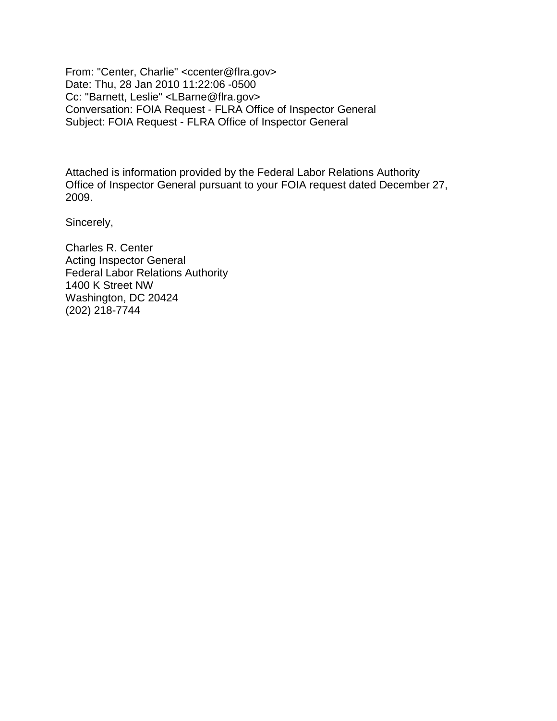From: "Center, Charlie" <ccenter@flra.gov> Date: Thu, 28 Jan 2010 11:22:06 -0500 Cc: "Barnett, Leslie" <LBarne@flra.gov> Conversation: FOIA Request - FLRA Office of Inspector General Subject: FOIA Request - FLRA Office of Inspector General

Attached is information provided by the Federal Labor Relations Authority Office of Inspector General pursuant to your FOIA request dated December 27, 2009.

Sincerely,

Charles R. Center Acting Inspector General Federal Labor Relations Authority 1400 K Street NW Washington, DC 20424 (202) 218-7744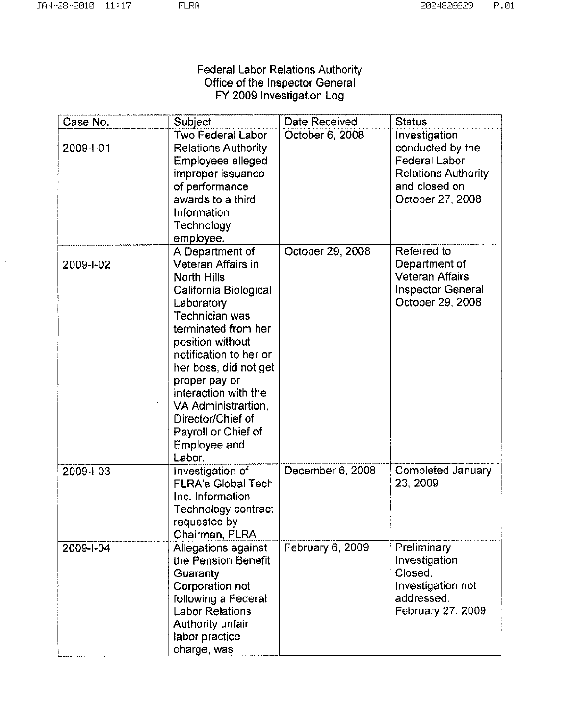## Federal Labor Relations Authority Office of the Inspector General FY 2009 Investigation Log

| Case No.  | Subject                                                                                                                                                                                                                                                                                                                                                  | Date Received    | <b>Status</b>                                                                                                                |
|-----------|----------------------------------------------------------------------------------------------------------------------------------------------------------------------------------------------------------------------------------------------------------------------------------------------------------------------------------------------------------|------------------|------------------------------------------------------------------------------------------------------------------------------|
| 2009-1-01 | Two Federal Labor<br><b>Relations Authority</b><br>Employees alleged<br>improper issuance<br>of performance<br>awards to a third<br>Information<br>Technology<br>employee.                                                                                                                                                                               | October 6, 2008  | Investigation<br>conducted by the<br><b>Federal Labor</b><br><b>Relations Authority</b><br>and closed on<br>October 27, 2008 |
| 2009-1-02 | A Department of<br>Veteran Affairs in<br><b>North Hills</b><br>California Biological<br>Laboratory<br>Technician was<br>terminated from her<br>position without<br>notification to her or<br>her boss, did not get<br>proper pay or<br>interaction with the<br>VA Administrartion,<br>Director/Chief of<br>Payroll or Chief of<br>Employee and<br>Labor. | October 29, 2008 | Referred to<br>Department of<br><b>Veteran Affairs</b><br><b>Inspector General</b><br>October 29, 2008                       |
| 2009-1-03 | Investigation of<br><b>FLRA's Global Tech</b><br>Inc. Information<br>Technology contract<br>requested by<br>Chairman, FLRA                                                                                                                                                                                                                               | December 6, 2008 | Completed January<br>23, 2009                                                                                                |
| 2009-1-04 | Allegations against<br>the Pension Benefit<br>Guaranty<br>Corporation not<br>following a Federal<br><b>Labor Relations</b><br>Authority unfair<br>labor practice<br>charge, was                                                                                                                                                                          | February 6, 2009 | Preliminary<br>Investigation<br>Closed.<br>Investigation not<br>addressed.<br>February 27, 2009                              |

 $\hat{\boldsymbol{\theta}}$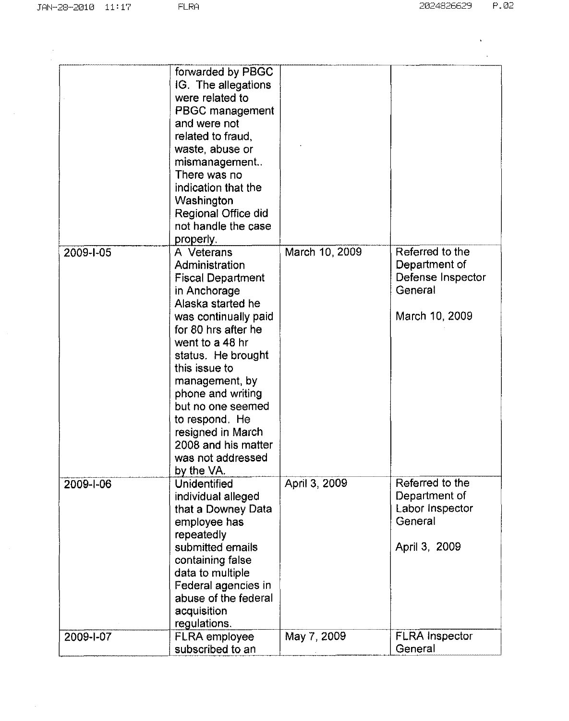$\mathcal{L}(\mathbf{x})$  .  $\sim 10^{11}$  km s  $^{-1}$ 

|           | forwarded by PBGC<br>IG. The allegations<br>were related to<br>PBGC management<br>and were not<br>related to fraud,<br>waste, abuse or<br>mismanagement<br>There was no<br>indication that the<br>Washington<br>Regional Office did<br>not handle the case<br>properly.                                                                                             |                |                                                                                    |
|-----------|---------------------------------------------------------------------------------------------------------------------------------------------------------------------------------------------------------------------------------------------------------------------------------------------------------------------------------------------------------------------|----------------|------------------------------------------------------------------------------------|
| 2009-1-05 | A Veterans<br>Administration<br><b>Fiscal Department</b><br>in Anchorage<br>Alaska started he<br>was continually paid<br>for 80 hrs after he<br>went to a 48 hr<br>status. He brought<br>this issue to<br>management, by<br>phone and writing<br>but no one seemed<br>to respond. He<br>resigned in March<br>2008 and his matter<br>was not addressed<br>by the VA. | March 10, 2009 | Referred to the<br>Department of<br>Defense Inspector<br>General<br>March 10, 2009 |
| 2009-1-06 | Unidentified<br>individual alleged<br>that a Downey Data<br>employee has<br>repeatedly<br>submitted emails<br>containing false<br>data to multiple<br>Federal agencies in<br>abuse of the federal<br>acquisition<br>regulations.                                                                                                                                    | April 3, 2009  | Referred to the<br>Department of<br>Labor Inspector<br>General<br>April 3, 2009    |
| 2009-1-07 | <b>FLRA</b> employee<br>subscribed to an                                                                                                                                                                                                                                                                                                                            | May 7, 2009    | FLRA Inspector<br>General                                                          |